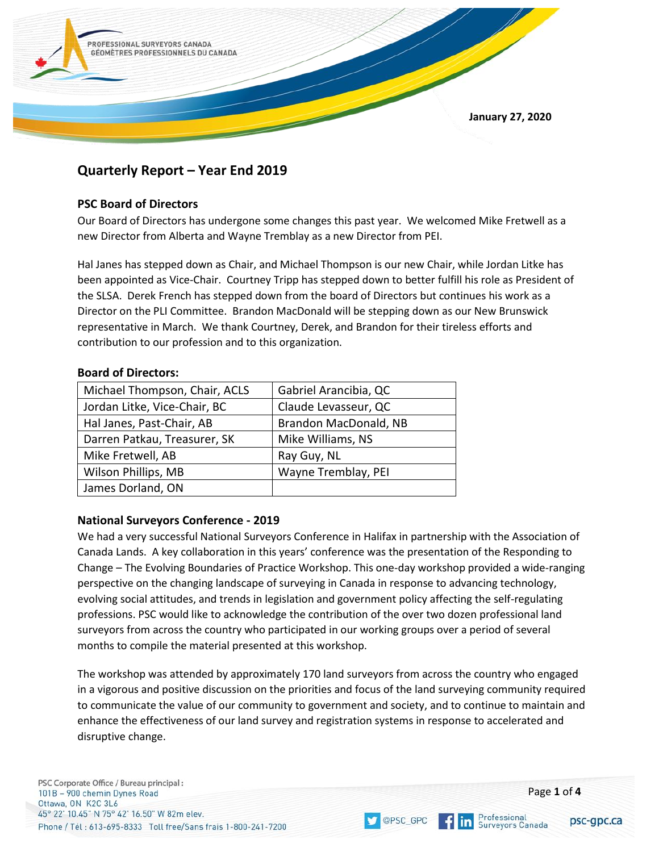

# **Quarterly Report – Year End 2019**

# **PSC Board of Directors**

Our Board of Directors has undergone some changes this past year. We welcomed Mike Fretwell as a new Director from Alberta and Wayne Tremblay as a new Director from PEI.

Hal Janes has stepped down as Chair, and Michael Thompson is our new Chair, while Jordan Litke has been appointed as Vice-Chair. Courtney Tripp has stepped down to better fulfill his role as President of the SLSA. Derek French has stepped down from the board of Directors but continues his work as a Director on the PLI Committee. Brandon MacDonald will be stepping down as our New Brunswick representative in March. We thank Courtney, Derek, and Brandon for their tireless efforts and contribution to our profession and to this organization.

## **Board of Directors:**

| Michael Thompson, Chair, ACLS | Gabriel Arancibia, QC |
|-------------------------------|-----------------------|
| Jordan Litke, Vice-Chair, BC  | Claude Levasseur, QC  |
| Hal Janes, Past-Chair, AB     | Brandon MacDonald, NB |
| Darren Patkau, Treasurer, SK  | Mike Williams, NS     |
| Mike Fretwell, AB             | Ray Guy, NL           |
| Wilson Phillips, MB           | Wayne Tremblay, PEI   |
| James Dorland, ON             |                       |

# **National Surveyors Conference - 2019**

We had a very successful National Surveyors Conference in Halifax in partnership with the Association of Canada Lands. A key collaboration in this years' conference was the presentation of the Responding to Change – The Evolving Boundaries of Practice Workshop. This one-day workshop provided a wide-ranging perspective on the changing landscape of surveying in Canada in response to advancing technology, evolving social attitudes, and trends in legislation and government policy affecting the self-regulating professions. PSC would like to acknowledge the contribution of the over two dozen professional land surveyors from across the country who participated in our working groups over a period of several months to compile the material presented at this workshop.

The workshop was attended by approximately 170 land surveyors from across the country who engaged in a vigorous and positive discussion on the priorities and focus of the land surveying community required to communicate the value of our community to government and society, and to continue to maintain and enhance the effectiveness of our land survey and registration systems in response to accelerated and disruptive change.

@PSC GPC

psc-gpc.ca

Professional<br>Surveyors Canada

inl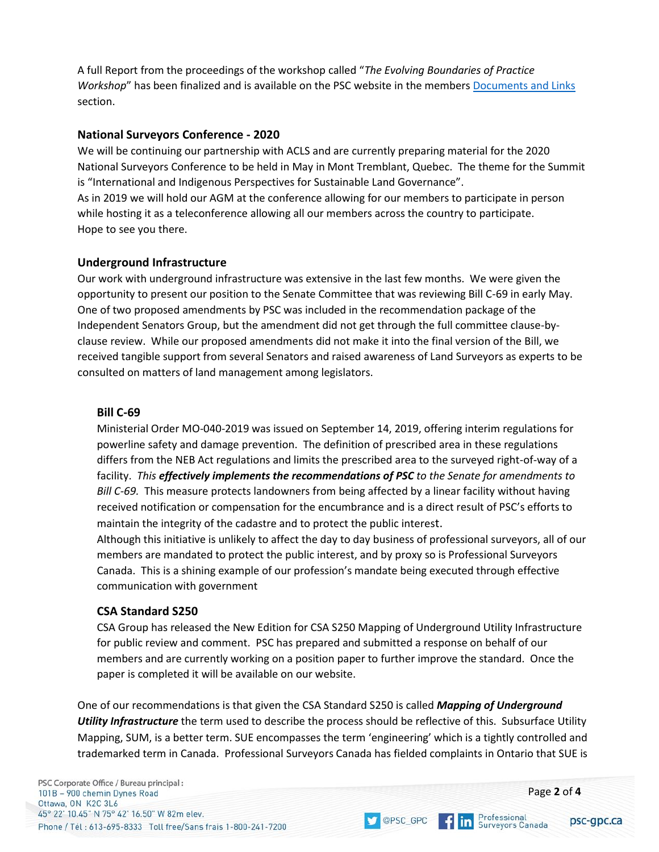A full Report from the proceedings of the workshop called "*The Evolving Boundaries of Practice Workshop*" has been finalized and is available on the PSC website in the member[s Documents and Links](https://www.psc-gpc.ca/members-area/member-resources/documents/) section.

# **National Surveyors Conference - 2020**

We will be continuing our partnership with ACLS and are currently preparing material for the 2020 National Surveyors Conference to be held in May in Mont Tremblant, Quebec. The theme for the Summit is "International and Indigenous Perspectives for Sustainable Land Governance". As in 2019 we will hold our AGM at the conference allowing for our members to participate in person while hosting it as a teleconference allowing all our members across the country to participate. Hope to see you there.

## **Underground Infrastructure**

Our work with underground infrastructure was extensive in the last few months. We were given the opportunity to present our position to the Senate Committee that was reviewing Bill C-69 in early May. One of two proposed amendments by PSC was included in the recommendation package of the Independent Senators Group, but the amendment did not get through the full committee clause-byclause review. While our proposed amendments did not make it into the final version of the Bill, we received tangible support from several Senators and raised awareness of Land Surveyors as experts to be consulted on matters of land management among legislators.

## **Bill C-69**

Ministerial Order MO-040-2019 was issued on September 14, 2019, offering interim regulations for powerline safety and damage prevention. The definition of prescribed area in these regulations differs from the NEB Act regulations and limits the prescribed area to the surveyed right-of-way of a facility. *This effectively implements the recommendations of PSC to the Senate for amendments to Bill C-69.* This measure protects landowners from being affected by a linear facility without having received notification or compensation for the encumbrance and is a direct result of PSC's efforts to maintain the integrity of the cadastre and to protect the public interest.

Although this initiative is unlikely to affect the day to day business of professional surveyors, all of our members are mandated to protect the public interest, and by proxy so is Professional Surveyors Canada. This is a shining example of our profession's mandate being executed through effective communication with government

## **CSA Standard S250**

CSA Group has released the New Edition for CSA S250 Mapping of Underground Utility Infrastructure for public review and comment. PSC has prepared and submitted a response on behalf of our members and are currently working on a position paper to further improve the standard. Once the paper is completed it will be available on our website.

One of our recommendations is that given the CSA Standard S250 is called *Mapping of Underground Utility Infrastructure* the term used to describe the process should be reflective of this. Subsurface Utility Mapping, SUM, is a better term. SUE encompasses the term 'engineering' which is a tightly controlled and trademarked term in Canada. Professional Surveyors Canada has fielded complaints in Ontario that SUE is

OPSC\_GPC

**f** in **Professional**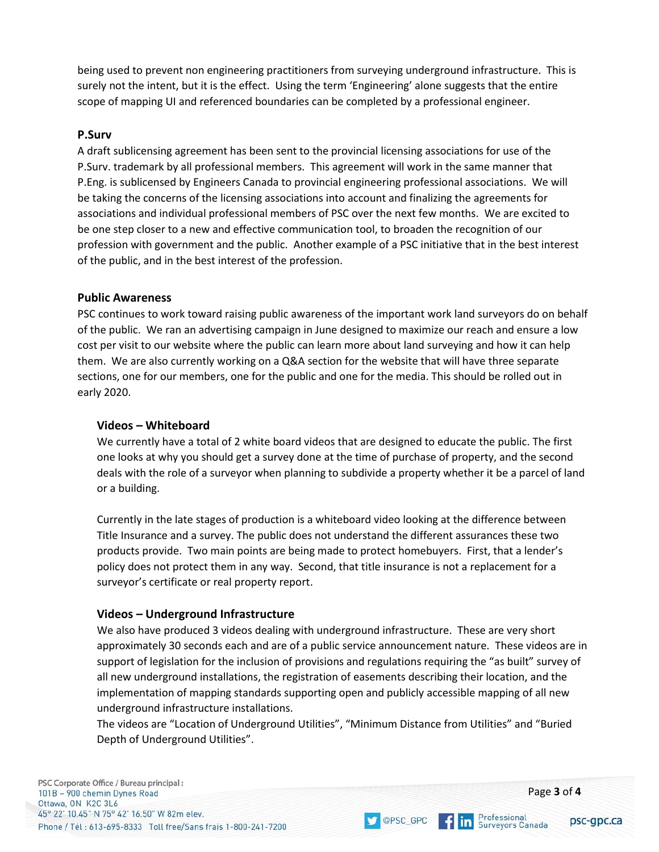being used to prevent non engineering practitioners from surveying underground infrastructure. This is surely not the intent, but it is the effect. Using the term 'Engineering' alone suggests that the entire scope of mapping UI and referenced boundaries can be completed by a professional engineer.

#### **P.Surv**

A draft sublicensing agreement has been sent to the provincial licensing associations for use of the P.Surv. trademark by all professional members. This agreement will work in the same manner that P.Eng. is sublicensed by Engineers Canada to provincial engineering professional associations. We will be taking the concerns of the licensing associations into account and finalizing the agreements for associations and individual professional members of PSC over the next few months. We are excited to be one step closer to a new and effective communication tool, to broaden the recognition of our profession with government and the public. Another example of a PSC initiative that in the best interest of the public, and in the best interest of the profession.

#### **Public Awareness**

PSC continues to work toward raising public awareness of the important work land surveyors do on behalf of the public. We ran an advertising campaign in June designed to maximize our reach and ensure a low cost per visit to our website where the public can learn more about land surveying and how it can help them. We are also currently working on a Q&A section for the website that will have three separate sections, one for our members, one for the public and one for the media. This should be rolled out in early 2020.

#### **Videos – Whiteboard**

We currently have a total of 2 white board videos that are designed to educate the public. The first one looks at why you should get a survey done at the time of purchase of property, and the second deals with the role of a surveyor when planning to subdivide a property whether it be a parcel of land or a building.

Currently in the late stages of production is a whiteboard video looking at the difference between Title Insurance and a survey. The public does not understand the different assurances these two products provide. Two main points are being made to protect homebuyers. First, that a lender's policy does not protect them in any way. Second, that title insurance is not a replacement for a surveyor's certificate or real property report.

#### **Videos – Underground Infrastructure**

We also have produced 3 videos dealing with underground infrastructure. These are very short approximately 30 seconds each and are of a public service announcement nature. These videos are in support of legislation for the inclusion of provisions and regulations requiring the "as built" survey of all new underground installations, the registration of easements describing their location, and the implementation of mapping standards supporting open and publicly accessible mapping of all new underground infrastructure installations.

The videos are "Location of Underground Utilities", "Minimum Distance from Utilities" and "Buried Depth of Underground Utilities".

OPSC\_GPC

PSC Corporate Office / Bureau principal: 101B - 900 chemin Dynes Road Ottawa, ON K2C 3L6 45° 22' 10.45" N 75° 42' 16.50" W 82m elev. Phone / Tél: 613-695-8333 Toll free/Sans frais 1-800-241-7200

**f** in **Professional**<br>Surveyors Canada

psc-gpc.ca